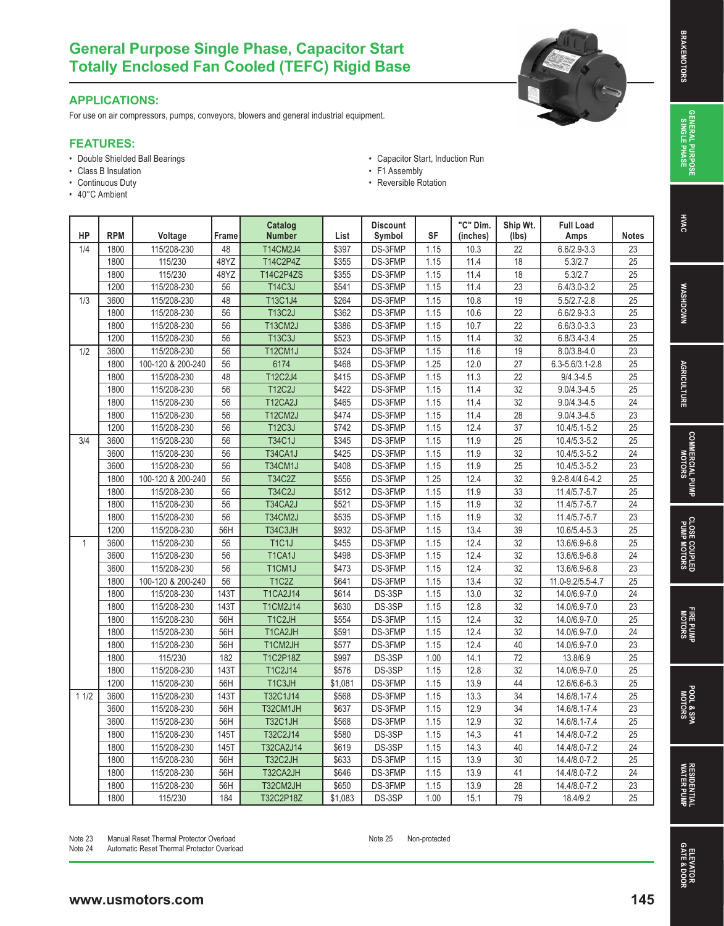# **SINGLE PHASE BRAKEMOTORS GENERAL PURPOSE**<br>SINGLE PHASE **GENERAL PURPOSE**

**HVAC** 

# **General Purpose Single Phase, Capacitor Start Totally Enclosed Fan Cooled (TEFC) Rigid Base**

### **APPLICATIONS:**

For use on air compressors, pumps, conveyors, blowers and general industrial equipment.

### **FEATURES:**

- Double Shielded Ball Bearings
- Class B Insulation
- Continuous Duty
- 40°C Ambient
- Capacitor Start, Induction Run • F1 Assembly
- Reversible Rotation

| HP           | <b>RPM</b> | Voltage           | Frame           | Catalog<br><b>Number</b> | List    | <b>Discount</b><br>Symbol | <b>SF</b> | "C" Dim.<br>(inches) | Ship Wt.<br>(lbs) | <b>Full Load</b><br>Amps | <b>Notes</b>    |
|--------------|------------|-------------------|-----------------|--------------------------|---------|---------------------------|-----------|----------------------|-------------------|--------------------------|-----------------|
| 1/4          | 1800       | 115/208-230       | 48              | T14CM2J4                 | \$397   | DS-3FMP                   | 1.15      | 10.3                 | 22                | $6.6/2.9 - 3.3$          | $\overline{23}$ |
|              | 1800       | 115/230           | 48YZ            | T14C2P4Z                 | \$355   | DS-3FMP                   | 1.15      | 11.4                 | $\overline{18}$   | 5.3/2.7                  | 25              |
|              | 1800       | 115/230           | 48YZ            | <b>T14C2P4ZS</b>         | \$355   | DS-3FMP                   | 1.15      | 11.4                 | $\overline{18}$   | 5.3/2.7                  | $\overline{25}$ |
|              | 1200       | 115/208-230       | 56              | <b>T14C3J</b>            | \$541   | DS-3FMP                   | 1.15      | 11.4                 | $\overline{23}$   | $6.4/3.0 - 3.2$          | $\overline{25}$ |
| 1/3          | 3600       | 115/208-230       | 48              | T13C1J4                  | \$264   | DS-3FMP                   | 1.15      | 10.8                 | $\overline{19}$   | $5.5/2.7 - 2.8$          | $\overline{25}$ |
|              | 1800       | 115/208-230       | 56              | <b>T13C2J</b>            | \$362   | DS-3FMP                   | 1.15      | 10.6                 | $\overline{22}$   | $6.6/2.9 - 3.3$          | $\overline{25}$ |
|              | 1800       | 115/208-230       | 56              | T13CM2J                  | \$386   | DS-3FMP                   | 1.15      | 10.7                 | $\overline{22}$   | $6.6/3.0 - 3.3$          | $\overline{23}$ |
|              | 1200       | 115/208-230       | 56              | <b>T13C3J</b>            | \$523   | DS-3FMP                   | 1.15      | 11.4                 | $\overline{32}$   | $6.8/3.4 - 3.4$          | $\overline{25}$ |
| 1/2          | 3600       | 115/208-230       | 56              | T12CM1J                  | \$324   | DS-3FMP                   | 1.15      | 11.6                 | 19                | $8.0/3.8 - 4.0$          | $\overline{23}$ |
|              | 1800       | 100-120 & 200-240 | 56              | 6174                     | \$468   | DS-3FMP                   | 1.25      | 12.0                 | 27                | $6.3 - 5.6/3.1 - 2.8$    | $\overline{25}$ |
|              | 1800       | 115/208-230       | 48              | T12C2J4                  | \$415   | DS-3FMP                   | 1.15      | 11.3                 | 22                | $9/4.3 - 4.5$            | $\overline{25}$ |
|              | 1800       | 115/208-230       | 56              | <b>T12C2J</b>            | \$422   | DS-3FMP                   | 1.15      | 11.4                 | $\overline{32}$   | $9.0/4.3 - 4.5$          | $\overline{25}$ |
|              | 1800       | 115/208-230       | 56              | T12CA2J                  | \$465   | DS-3FMP                   | 1.15      | 11.4                 | $\overline{32}$   | $9.0/4.3 - 4.5$          | $\overline{24}$ |
|              | 1800       | 115/208-230       | 56              | <b>T12CM2J</b>           | \$474   | DS-3FMP                   | 1.15      | 11.4                 | 28                | $9.0/4.3 - 4.5$          | $\overline{23}$ |
|              | 1200       | 115/208-230       | 56              | T12C3J                   | \$742   | DS-3FMP                   | 1.15      | 12.4                 | $\overline{37}$   | 10.4/5.1-5.2             | $\overline{25}$ |
| 3/4          | 3600       | 115/208-230       | 56              | <b>T34C1J</b>            | \$345   | DS-3FMP                   | 1.15      | 11.9                 | $\overline{25}$   | 10.4/5.3-5.2             | $\overline{25}$ |
|              | 3600       | 115/208-230       | 56              | T34CA1J                  | \$425   | DS-3FMP                   | 1.15      | 11.9                 | $\overline{32}$   | 10.4/5.3-5.2             | $\overline{24}$ |
|              | 3600       | 115/208-230       | 56              | T34CM1J                  | \$408   | DS-3FMP                   | 1.15      | 11.9                 | 25                | $10.4/5.3 - 5.2$         | 23              |
|              | 1800       | 100-120 & 200-240 | 56              | <b>T34C2Z</b>            | \$556   | DS-3FMP                   | 1.25      | 12.4                 | $\overline{32}$   | 9.2-8.4/4.6-4.2          | $\overline{25}$ |
|              | 1800       | 115/208-230       | 56              | <b>T34C2J</b>            | \$512   | DS-3FMP                   | 1.15      | 11.9                 | 33                | 11.4/5.7-5.7             | 25              |
|              | 1800       | 115/208-230       | 56              | T34CA2J                  | \$521   | DS-3FMP                   | 1.15      | 11.9                 | $\overline{32}$   | 11.4/5.7-5.7             | $\overline{24}$ |
|              | 1800       | 115/208-230       | $\overline{56}$ | T34CM2J                  | \$535   | DS-3FMP                   | 1.15      | 11.9                 | $\overline{32}$   | $11.4/5.7 - 5.7$         | $\overline{23}$ |
|              | 1200       | 115/208-230       | 56H             | T34C3JH                  | \$932   | DS-3FMP                   | 1.15      | 13.4                 | $\overline{39}$   | 10.6/5.4-5.3             | $\overline{25}$ |
| $\mathbf{1}$ | 3600       | 115/208-230       | 56              | <b>T1C1J</b>             | \$455   | DS-3FMP                   | 1.15      | 12.4                 | $\overline{32}$   | 13.6/6.9-6.8             | $\overline{25}$ |
|              | 3600       | 115/208-230       | 56              | T1CA1J                   | \$498   | DS-3FMP                   | 1.15      | 12.4                 | 32                | 13.6/6.9-6.8             | $\overline{24}$ |
|              | 3600       | 115/208-230       | 56              | T1CM1J                   | \$473   | DS-3FMP                   | 1.15      | 12.4                 | $\overline{32}$   | 13.6/6.9-6.8             | $\overline{23}$ |
|              | 1800       | 100-120 & 200-240 | 56              | <b>T1C2Z</b>             | \$641   | DS-3FMP                   | 1.15      | 13.4                 | $\overline{32}$   | 11.0-9.2/5.5-4.7         | $\overline{25}$ |
|              | 1800       | 115/208-230       | 143T            | <b>T1CA2J14</b>          | \$614   | DS-3SP                    | 1.15      | 13.0                 | $\overline{32}$   | 14.0/6.9-7.0             | $\overline{24}$ |
|              | 1800       | 115/208-230       | 143T            | <b>T1CM2J14</b>          | \$630   | DS-3SP                    | 1.15      | 12.8                 | $\overline{32}$   | 14.0/6.9-7.0             | $\overline{23}$ |
|              | 1800       | 115/208-230       | 56H             | T1C2JH                   | \$554   | DS-3FMP                   | 1.15      | 12.4                 | 32                | 14.0/6.9-7.0             | 25              |
|              | 1800       | 115/208-230       | 56H             | T1CA2JH                  | \$591   | DS-3FMP                   | 1.15      | 12.4                 | 32                | 14.0/6.9-7.0             | 24              |
|              | 1800       | 115/208-230       | 56H             | T1CM2JH                  | \$577   | DS-3FMP                   | 1.15      | 12.4                 | 40                | 14.0/6.9-7.0             | $\overline{23}$ |
|              | 1800       | 115/230           | 182             | <b>T1C2P18Z</b>          | \$997   | DS-3SP                    | 1.00      | 14.1                 | 72                | 13.8/6.9                 | $\overline{25}$ |
|              | 1800       | 115/208-230       | 143T            | T1C2J14                  | \$576   | DS-3SP                    | 1.15      | 12.8                 | $\overline{32}$   | 14.0/6.9-7.0             | $\overline{25}$ |
|              | 1200       | 115/208-230       | 56H             | T1C3JH                   | \$1,081 | DS-3FMP                   | 1.15      | 13.9                 | 44                | 12.6/6.6-6.3             | $\overline{25}$ |
| 11/2         | 3600       | 115/208-230       | 143T            | T32C1J14                 | \$568   | DS-3FMP                   | 1.15      | 13.3                 | $\overline{34}$   | 14.6/8.1-7.4             | $\overline{25}$ |
|              | 3600       | 115/208-230       | 56H             | T32CM1JH                 | \$637   | DS-3FMP                   | 1.15      | 12.9                 | $\overline{34}$   | 14.6/8.1-7.4             | $\overline{23}$ |
|              | 3600       | 115/208-230       | 56H             | <b>T32C1JH</b>           | \$568   | DS-3FMP                   | 1.15      | 12.9                 | $\overline{32}$   | 14.6/8.1-7.4             | $\overline{25}$ |
|              | 1800       | 115/208-230       | 145T            | T32C2J14                 | \$580   | DS-3SP                    | 1.15      | 14.3                 | 41                | 14.4/8.0-7.2             | 25              |
|              | 1800       | 115/208-230       | 145T            | T32CA2J14                | \$619   | DS-3SP                    | 1.15      | 14.3                 | 40                | 14.4/8.0-7.2             | 24              |
|              | 1800       | 115/208-230       | 56H             | T32C2JH                  | \$633   | DS-3FMP                   | 1.15      | 13.9                 | 30                | 14.4/8.0-7.2             | 25              |
|              | 1800       | 115/208-230       | 56H             | T32CA2JH                 | \$646   | DS-3FMP                   | 1.15      | 13.9                 | 41                | 14.4/8.0-7.2             | $\overline{24}$ |
|              | 1800       | 115/208-230       | 56H             | T32CM2JH                 | \$650   | DS-3FMP                   | 1.15      | 13.9                 | $\overline{28}$   | 14.4/8.0-7.2             | $\overline{23}$ |
|              | 1800       | 115/230           | 184             | T32C2P18Z                | \$1,083 | DS-3SP                    | 1.00      | 15.1                 | 79                | 18.4/9.2                 | $\overline{25}$ |

- Note 23 Manual Reset Thermal Protector Overload<br>Note 24 Automatic Reset Thermal Protector Overloa
- Automatic Reset Thermal Protector Overload

Note 25 Non-protected

**MOTORS AGRICULTURE WASHDOWN HVAC NWOCHSVM** 

POOL & SPA<br>MOTORS

**FIRE PUMP**  FIRE PUMP